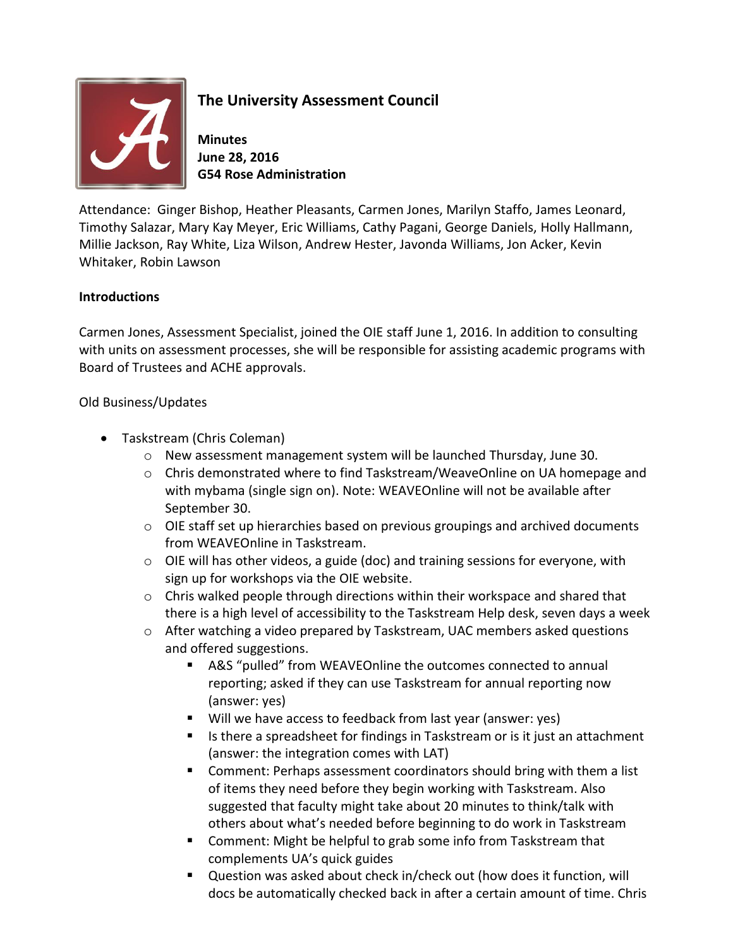

## **The University Assessment Council**

**Minutes June 28, 2016 G54 Rose Administration**

Attendance: Ginger Bishop, Heather Pleasants, Carmen Jones, Marilyn Staffo, James Leonard, Timothy Salazar, Mary Kay Meyer, Eric Williams, Cathy Pagani, George Daniels, Holly Hallmann, Millie Jackson, Ray White, Liza Wilson, Andrew Hester, Javonda Williams, Jon Acker, Kevin Whitaker, Robin Lawson

## **Introductions**

Carmen Jones, Assessment Specialist, joined the OIE staff June 1, 2016. In addition to consulting with units on assessment processes, she will be responsible for assisting academic programs with Board of Trustees and ACHE approvals.

## Old Business/Updates

- Taskstream (Chris Coleman)
	- o New assessment management system will be launched Thursday, June 30.
	- o Chris demonstrated where to find Taskstream/WeaveOnline on UA homepage and with mybama (single sign on). Note: WEAVEOnline will not be available after September 30.
	- o OIE staff set up hierarchies based on previous groupings and archived documents from WEAVEOnline in Taskstream.
	- $\circ$  OIE will has other videos, a guide (doc) and training sessions for everyone, with sign up for workshops via the OIE website.
	- $\circ$  Chris walked people through directions within their workspace and shared that there is a high level of accessibility to the Taskstream Help desk, seven days a week
	- o After watching a video prepared by Taskstream, UAC members asked questions and offered suggestions.
		- A&S "pulled" from WEAVEOnline the outcomes connected to annual reporting; asked if they can use Taskstream for annual reporting now (answer: yes)
		- Will we have access to feedback from last year (answer: yes)
		- **IF** Is there a spreadsheet for findings in Taskstream or is it just an attachment (answer: the integration comes with LAT)
		- Comment: Perhaps assessment coordinators should bring with them a list of items they need before they begin working with Taskstream. Also suggested that faculty might take about 20 minutes to think/talk with others about what's needed before beginning to do work in Taskstream
		- **Comment: Might be helpful to grab some info from Taskstream that** complements UA's quick guides
		- Question was asked about check in/check out (how does it function, will docs be automatically checked back in after a certain amount of time. Chris